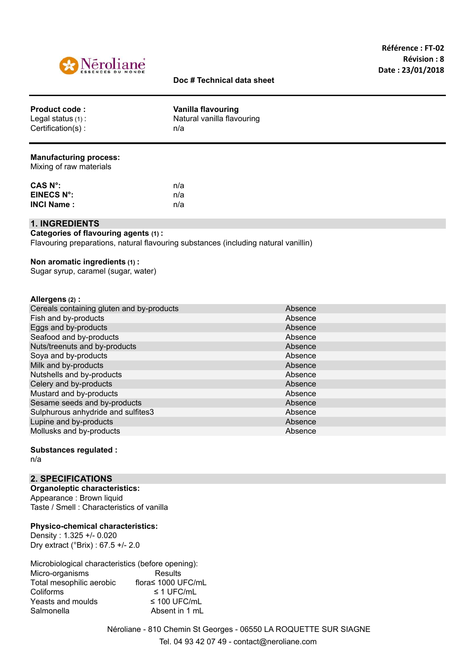

## **Doc # Technical data sheet**

|  | <b>Product code:</b><br>Legal status $(1)$ :<br>$Certification(s)$ : | Vanilla flavouring<br>Natural vanilla flavouring<br>n/a |
|--|----------------------------------------------------------------------|---------------------------------------------------------|
|--|----------------------------------------------------------------------|---------------------------------------------------------|

#### **Manufacturing process:**

Mixing of raw materials

| CAS N°:           | n/a |
|-------------------|-----|
| EINECS N°:        | n/a |
| <b>INCI Name:</b> | n/a |

## **1. INGREDIENTS**

**Categories of flavouring agents (1) :** Flavouring preparations, natural flavouring substances (including natural vanillin)

#### **Non aromatic ingredients (1) :**

Sugar syrup, caramel (sugar, water)

#### **Allergens (2) :**

| Cereals containing gluten and by-products | Absence |
|-------------------------------------------|---------|
| Fish and by-products                      | Absence |
| Eggs and by-products                      | Absence |
| Seafood and by-products                   | Absence |
| Nuts/treenuts and by-products             | Absence |
| Soya and by-products                      | Absence |
| Milk and by-products                      | Absence |
| Nutshells and by-products                 | Absence |
| Celery and by-products                    | Absence |
| Mustard and by-products                   | Absence |
| Sesame seeds and by-products              | Absence |
| Sulphurous anhydride and sulfites3        | Absence |
| Lupine and by-products                    | Absence |
| Mollusks and by-products                  | Absence |
|                                           |         |

## **Substances regulated :**

n/a

## **2. SPECIFICATIONS**

**Organoleptic characteristics:** Appearance : Brown liquid Taste / Smell : Characteristics of vanilla

#### **Physico-chemical characteristics:**

Density : 1.325 +/- 0.020 Dry extract (°Brix) : 67.5 +/- 2.0

| Microbiological characteristics (before opening): |                    |
|---------------------------------------------------|--------------------|
| Micro-organisms                                   | Results            |
| Total mesophilic aerobic                          | flora≤ 1000 UFC/mL |
| Coliforms                                         | $\leq$ 1 UFC/mL    |
| Yeasts and moulds                                 | $\leq$ 100 UFC/mL  |
| Salmonella                                        | Absent in 1 mL     |